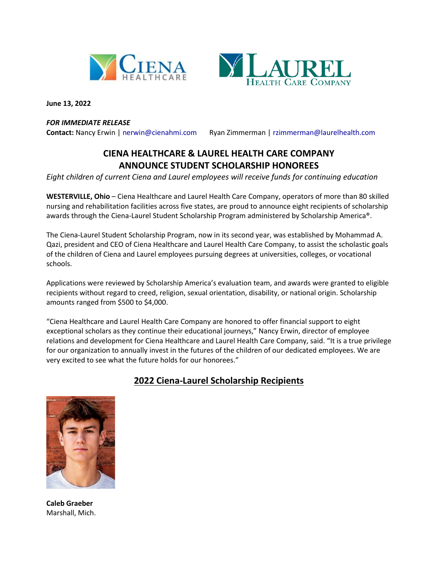



**June 13, 2022**

### *FOR IMMEDIATE RELEASE*

**Contact:** Nancy Erwin | [nerwin@cienahmi.com](mailto:nerwin@cienahmi.com) Ryan Zimmerman [| rzimmerman@laurelhealth.com](mailto:rzimmerman@laurelhealth.com)

# **CIENA HEALTHCARE & LAUREL HEALTH CARE COMPANY ANNOUNCE STUDENT SCHOLARSHIP HONOREES**

*Eight children of current Ciena and Laurel employees will receive funds for continuing education*

**WESTERVILLE, Ohio** – Ciena Healthcare and Laurel Health Care Company, operators of more than 80 skilled nursing and rehabilitation facilities across five states, are proud to announce eight recipients of scholarship awards through the Ciena-Laurel Student Scholarship Program administered by Scholarship America®.

The Ciena-Laurel Student Scholarship Program, now in its second year, was established by Mohammad A. Qazi, president and CEO of Ciena Healthcare and Laurel Health Care Company, to assist the scholastic goals of the children of Ciena and Laurel employees pursuing degrees at universities, colleges, or vocational schools.

Applications were reviewed by Scholarship America's evaluation team, and awards were granted to eligible recipients without regard to creed, religion, sexual orientation, disability, or national origin. Scholarship amounts ranged from \$500 to \$4,000.

"Ciena Healthcare and Laurel Health Care Company are honored to offer financial support to eight exceptional scholars as they continue their educational journeys," Nancy Erwin, director of employee relations and development for Ciena Healthcare and Laurel Health Care Company, said. "It is a true privilege for our organization to annually invest in the futures of the children of our dedicated employees. We are very excited to see what the future holds for our honorees."

## **2022 Ciena-Laurel Scholarship Recipients**



**Caleb Graeber** Marshall, Mich.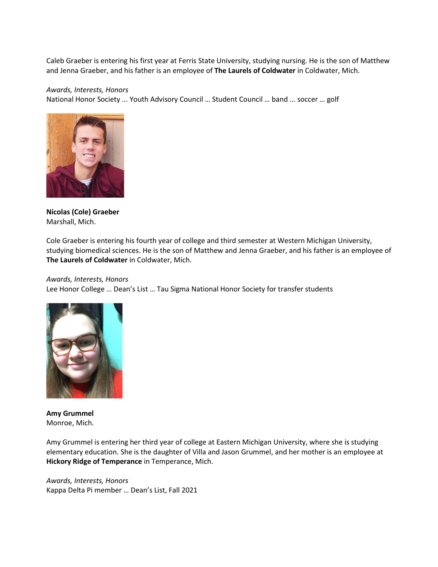Caleb Graeber is entering his first year at Ferris State University, studying nursing. He is the son of Matthew and Jenna Graeber, and his father is an employee of **The Laurels of Coldwater** in Coldwater, Mich.

#### *Awards, Interests, Honors*

National Honor Society ... Youth Advisory Council … Student Council … band ... soccer … golf



**Nicolas (Cole) Graeber** Marshall, Mich.

Cole Graeber is entering his fourth year of college and third semester at Western Michigan University, studying biomedical sciences. He is the son of Matthew and Jenna Graeber, and his father is an employee of **The Laurels of Coldwater** in Coldwater, Mich.

## *Awards, Interests, Honors*

Lee Honor College … Dean's List … Tau Sigma National Honor Society for transfer students



**Amy Grummel** Monroe, Mich.

Amy Grummel is entering her third year of college at Eastern Michigan University, where she is studying elementary education. She is the daughter of Villa and Jason Grummel, and her mother is an employee at **Hickory Ridge of Temperance** in Temperance, Mich.

*Awards, Interests, Honors* Kappa Delta Pi member … Dean's List, Fall 2021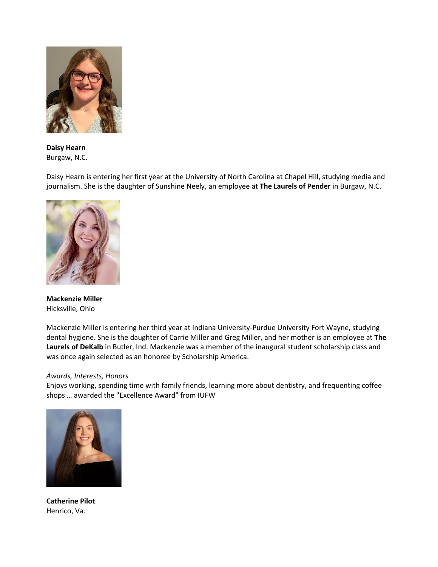

**Daisy Hearn** Burgaw, N.C.

Daisy Hearn is entering her first year at the University of North Carolina at Chapel Hill, studying media and journalism. She is the daughter of Sunshine Neely, an employee at **The Laurels of Pender** in Burgaw, N.C.



**Mackenzie Miller** Hicksville, Ohio

Mackenzie Miller is entering her third year at Indiana University-Purdue University Fort Wayne, studying dental hygiene. She is the daughter of Carrie Miller and Greg Miller, and her mother is an employee at **The Laurels of DeKalb** in Butler, Ind. Mackenzie was a member of the inaugural student scholarship class and was once again selected as an honoree by Scholarship America.

## *Awards, Interests, Honors*

Enjoys working, spending time with family friends, learning more about dentistry, and frequenting coffee shops … awarded the "Excellence Award" from IUFW



**Catherine Pilot** Henrico, Va.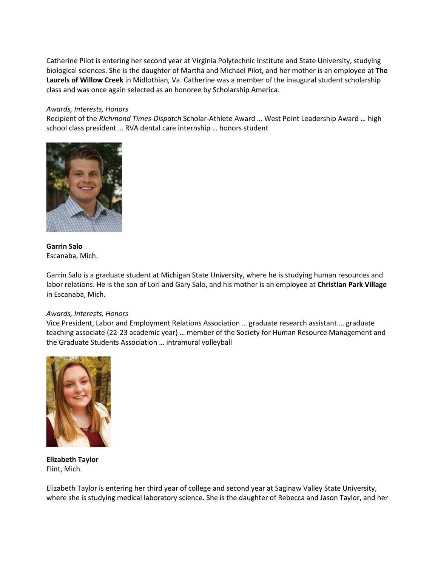Catherine Pilot is entering her second year at Virginia Polytechnic Institute and State University, studying biological sciences. She is the daughter of Martha and Michael Pilot, and her mother is an employee at **The Laurels of Willow Creek** in Midlothian, Va. Catherine was a member of the inaugural student scholarship class and was once again selected as an honoree by Scholarship America.

#### *Awards, Interests, Honors*

Recipient of the *Richmond Times-Dispatch* Scholar-Athlete Award … West Point Leadership Award … high school class president … RVA dental care internship … honors student



**Garrin Salo** Escanaba, Mich.

Garrin Salo is a graduate student at Michigan State University, where he is studying human resources and labor relations. He is the son of Lori and Gary Salo, and his mother is an employee at **Christian Park Village** in Escanaba, Mich.

#### *Awards, Interests, Honors*

Vice President, Labor and Employment Relations Association … graduate research assistant … graduate teaching associate (22-23 academic year) … member of the Society for Human Resource Management and the Graduate Students Association … intramural volleyball



**Elizabeth Taylor** Flint, Mich.

Elizabeth Taylor is entering her third year of college and second year at Saginaw Valley State University, where she is studying medical laboratory science. She is the daughter of Rebecca and Jason Taylor, and her